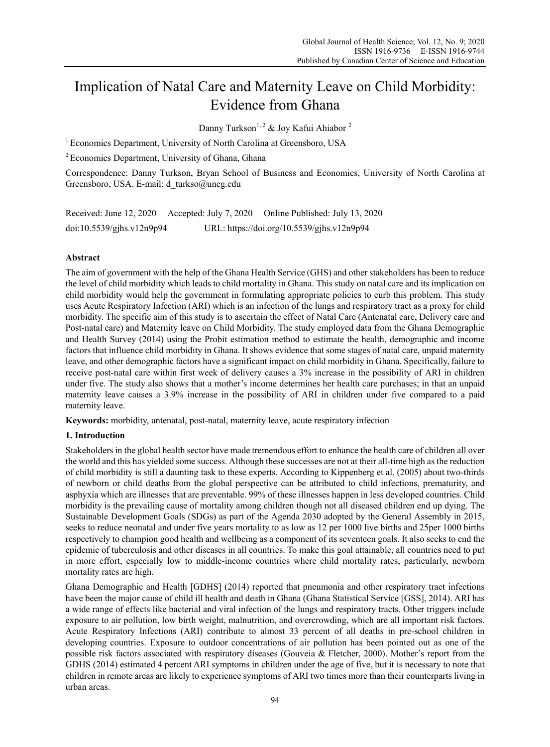# Implication of Natal Care and Maternity Leave on Child Morbidity: Evidence from Ghana

Danny Turkson<sup>1, 2</sup> & Joy Kafui Ahiabor<sup>2</sup>

<sup>1</sup> Economics Department, University of North Carolina at Greensboro, USA

<sup>2</sup> Economics Department, University of Ghana, Ghana

Correspondence: Danny Turkson, Bryan School of Business and Economics, University of North Carolina at Greensboro, USA. E-mail: d\_turkso@uncg.edu

Received: June 12, 2020 Accepted: July 7, 2020 Online Published: July 13, 2020 doi:10.5539/gjhs.v12n9p94 URL: https://doi.org/10.5539/gjhs.v12n9p94

# **Abstract**

The aim of government with the help of the Ghana Health Service (GHS) and other stakeholders has been to reduce the level of child morbidity which leads to child mortality in Ghana. This study on natal care and its implication on child morbidity would help the government in formulating appropriate policies to curb this problem. This study uses Acute Respiratory Infection (ARI) which is an infection of the lungs and respiratory tract as a proxy for child morbidity. The specific aim of this study is to ascertain the effect of Natal Care (Antenatal care, Delivery care and Post-natal care) and Maternity leave on Child Morbidity. The study employed data from the Ghana Demographic and Health Survey (2014) using the Probit estimation method to estimate the health, demographic and income factors that influence child morbidity in Ghana. It shows evidence that some stages of natal care, unpaid maternity leave, and other demographic factors have a significant impact on child morbidity in Ghana. Specifically, failure to receive post-natal care within first week of delivery causes a 3% increase in the possibility of ARI in children under five. The study also shows that a mother's income determines her health care purchases; in that an unpaid maternity leave causes a 3.9% increase in the possibility of ARI in children under five compared to a paid maternity leave.

**Keywords:** morbidity, antenatal, post-natal, maternity leave, acute respiratory infection

# **1. Introduction**

Stakeholders in the global health sector have made tremendous effort to enhance the health care of children all over the world and this has yielded some success. Although these successes are not at their all-time high as the reduction of child morbidity is still a daunting task to these experts. According to Kippenberg et al, (2005) about two-thirds of newborn or child deaths from the global perspective can be attributed to child infections, prematurity, and asphyxia which are illnesses that are preventable. 99% of these illnesses happen in less developed countries. Child morbidity is the prevailing cause of mortality among children though not all diseased children end up dying. The Sustainable Development Goals (SDGs) as part of the Agenda 2030 adopted by the General Assembly in 2015, seeks to reduce neonatal and under five years mortality to as low as 12 per 1000 live births and 25per 1000 births respectively to champion good health and wellbeing as a component of its seventeen goals. It also seeks to end the epidemic of tuberculosis and other diseases in all countries. To make this goal attainable, all countries need to put in more effort, especially low to middle-income countries where child mortality rates, particularly, newborn mortality rates are high.

Ghana Demographic and Health [GDHS] (2014) reported that pneumonia and other respiratory tract infections have been the major cause of child ill health and death in Ghana (Ghana Statistical Service [GSS], 2014). ARI has a wide range of effects like bacterial and viral infection of the lungs and respiratory tracts. Other triggers include exposure to air pollution, low birth weight, malnutrition, and overcrowding, which are all important risk factors. Acute Respiratory Infections (ARI) contribute to almost 33 percent of all deaths in pre-school children in developing countries. Exposure to outdoor concentrations of air pollution has been pointed out as one of the possible risk factors associated with respiratory diseases (Gouveia & Fletcher, 2000). Mother's report from the GDHS (2014) estimated 4 percent ARI symptoms in children under the age of five, but it is necessary to note that children in remote areas are likely to experience symptoms of ARI two times more than their counterparts living in urban areas.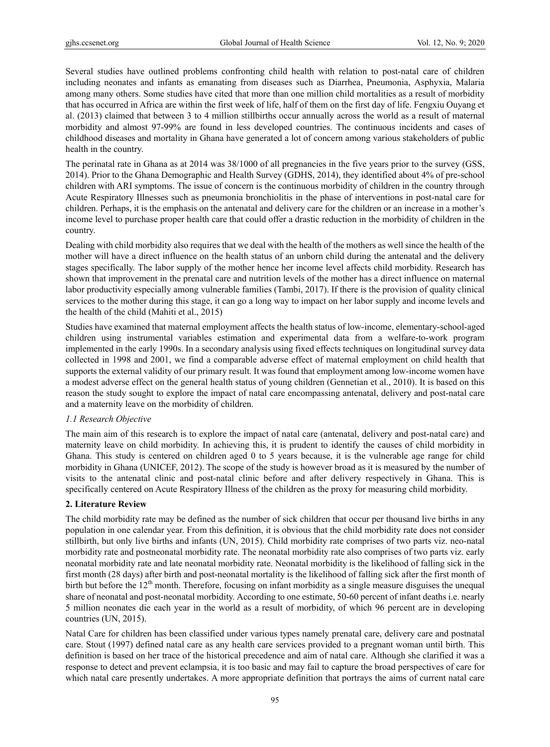Several studies have outlined problems confronting child health with relation to post-natal care of children including neonates and infants as emanating from diseases such as Diarrhea, Pneumonia, Asphyxia, Malaria among many others. Some studies have cited that more than one million child mortalities as a result of morbidity that has occurred in Africa are within the first week of life, half of them on the first day of life. Fengxiu Ouyang et al. (2013) claimed that between 3 to 4 million stillbirths occur annually across the world as a result of maternal morbidity and almost 97-99% are found in less developed countries. The continuous incidents and cases of childhood diseases and mortality in Ghana have generated a lot of concern among various stakeholders of public health in the country.

The perinatal rate in Ghana as at 2014 was 38/1000 of all pregnancies in the five years prior to the survey (GSS, 2014). Prior to the Ghana Demographic and Health Survey (GDHS, 2014), they identified about 4% of pre-school children with ARI symptoms. The issue of concern is the continuous morbidity of children in the country through Acute Respiratory Illnesses such as pneumonia bronchiolitis in the phase of interventions in post-natal care for children. Perhaps, it is the emphasis on the antenatal and delivery care for the children or an increase in a mother's income level to purchase proper health care that could offer a drastic reduction in the morbidity of children in the country.

Dealing with child morbidity also requires that we deal with the health of the mothers as well since the health of the mother will have a direct influence on the health status of an unborn child during the antenatal and the delivery stages specifically. The labor supply of the mother hence her income level affects child morbidity. Research has shown that improvement in the prenatal care and nutrition levels of the mother has a direct influence on maternal labor productivity especially among vulnerable families (Tambi, 2017). If there is the provision of quality clinical services to the mother during this stage, it can go a long way to impact on her labor supply and income levels and the health of the child (Mahiti et al., 2015)

Studies have examined that maternal employment affects the health status of low-income, elementary-school-aged children using instrumental variables estimation and experimental data from a welfare-to-work program implemented in the early 1990s. In a secondary analysis using fixed effects techniques on longitudinal survey data collected in 1998 and 2001, we find a comparable adverse effect of maternal employment on child health that supports the external validity of our primary result. It was found that employment among low-income women have a modest adverse effect on the general health status of young children (Gennetian et al., 2010). It is based on this reason the study sought to explore the impact of natal care encompassing antenatal, delivery and post-natal care and a maternity leave on the morbidity of children.

# *1.1 Research Objective*

The main aim of this research is to explore the impact of natal care (antenatal, delivery and post-natal care) and maternity leave on child morbidity. In achieving this, it is prudent to identify the causes of child morbidity in Ghana. This study is centered on children aged 0 to 5 years because, it is the vulnerable age range for child morbidity in Ghana (UNICEF, 2012). The scope of the study is however broad as it is measured by the number of visits to the antenatal clinic and post-natal clinic before and after delivery respectively in Ghana. This is specifically centered on Acute Respiratory Illness of the children as the proxy for measuring child morbidity.

#### **2. Literature Review**

The child morbidity rate may be defined as the number of sick children that occur per thousand live births in any population in one calendar year. From this definition, it is obvious that the child morbidity rate does not consider stillbirth, but only live births and infants (UN, 2015). Child morbidity rate comprises of two parts viz. neo-natal morbidity rate and postneonatal morbidity rate. The neonatal morbidity rate also comprises of two parts viz. early neonatal morbidity rate and late neonatal morbidity rate. Neonatal morbidity is the likelihood of falling sick in the first month (28 days) after birth and post-neonatal mortality is the likelihood of falling sick after the first month of birth but before the  $12<sup>th</sup>$  month. Therefore, focusing on infant morbidity as a single measure disguises the unequal share of neonatal and post-neonatal morbidity. According to one estimate, 50-60 percent of infant deaths i.e. nearly 5 million neonates die each year in the world as a result of morbidity, of which 96 percent are in developing countries (UN, 2015).

Natal Care for children has been classified under various types namely prenatal care, delivery care and postnatal care. Stout (1997) defined natal care as any health care services provided to a pregnant woman until birth. This definition is based on her trace of the historical precedence and aim of natal care. Although she clarified it was a response to detect and prevent eclampsia, it is too basic and may fail to capture the broad perspectives of care for which natal care presently undertakes. A more appropriate definition that portrays the aims of current natal care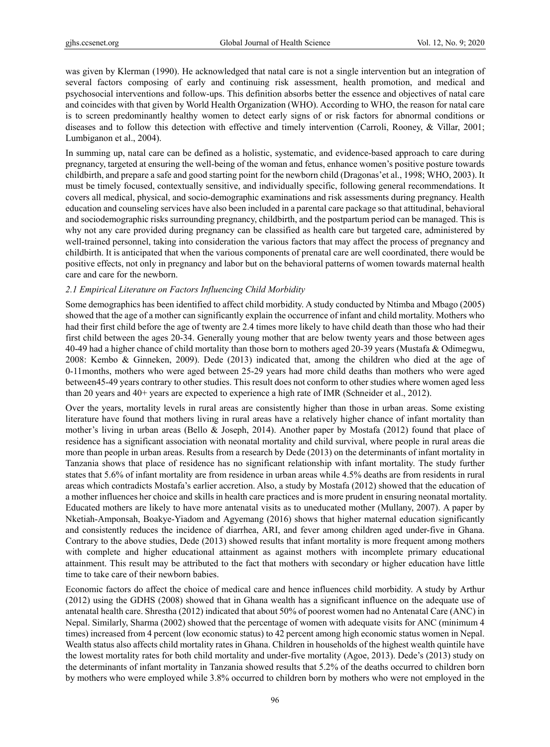was given by Klerman (1990). He acknowledged that natal care is not a single intervention but an integration of several factors composing of early and continuing risk assessment, health promotion, and medical and psychosocial interventions and follow-ups. This definition absorbs better the essence and objectives of natal care and coincides with that given by World Health Organization (WHO). According to WHO, the reason for natal care is to screen predominantly healthy women to detect early signs of or risk factors for abnormal conditions or diseases and to follow this detection with effective and timely intervention (Carroli, Rooney, & Villar, 2001; Lumbiganon et al., 2004).

In summing up, natal care can be defined as a holistic, systematic, and evidence-based approach to care during pregnancy, targeted at ensuring the well-being of the woman and fetus, enhance women's positive posture towards childbirth, and prepare a safe and good starting point for the newborn child (Dragonas'et al., 1998; WHO, 2003). It must be timely focused, contextually sensitive, and individually specific, following general recommendations. It covers all medical, physical, and socio-demographic examinations and risk assessments during pregnancy. Health education and counseling services have also been included in a parental care package so that attitudinal, behavioral and sociodemographic risks surrounding pregnancy, childbirth, and the postpartum period can be managed. This is why not any care provided during pregnancy can be classified as health care but targeted care, administered by well-trained personnel, taking into consideration the various factors that may affect the process of pregnancy and childbirth. It is anticipated that when the various components of prenatal care are well coordinated, there would be positive effects, not only in pregnancy and labor but on the behavioral patterns of women towards maternal health care and care for the newborn.

# *2.1 Empirical Literature on Factors Influencing Child Morbidity*

Some demographics has been identified to affect child morbidity. A study conducted by Ntimba and Mbago (2005) showed that the age of a mother can significantly explain the occurrence of infant and child mortality. Mothers who had their first child before the age of twenty are 2.4 times more likely to have child death than those who had their first child between the ages 20-34. Generally young mother that are below twenty years and those between ages 40-49 had a higher chance of child mortality than those born to mothers aged 20-39 years (Mustafa & Odimegwu, 2008: Kembo & Ginneken, 2009). Dede (2013) indicated that, among the children who died at the age of 0-11months, mothers who were aged between 25-29 years had more child deaths than mothers who were aged between45-49 years contrary to other studies. This result does not conform to other studies where women aged less than 20 years and 40+ years are expected to experience a high rate of IMR (Schneider et al., 2012).

Over the years, mortality levels in rural areas are consistently higher than those in urban areas. Some existing literature have found that mothers living in rural areas have a relatively higher chance of infant mortality than mother's living in urban areas (Bello & Joseph, 2014). Another paper by Mostafa (2012) found that place of residence has a significant association with neonatal mortality and child survival, where people in rural areas die more than people in urban areas. Results from a research by Dede (2013) on the determinants of infant mortality in Tanzania shows that place of residence has no significant relationship with infant mortality. The study further states that 5.6% of infant mortality are from residence in urban areas while 4.5% deaths are from residents in rural areas which contradicts Mostafa's earlier accretion. Also, a study by Mostafa (2012) showed that the education of a mother influences her choice and skills in health care practices and is more prudent in ensuring neonatal mortality. Educated mothers are likely to have more antenatal visits as to uneducated mother (Mullany, 2007). A paper by Nketiah-Amponsah, Boakye-Yiadom and Agyemang (2016) shows that higher maternal education significantly and consistently reduces the incidence of diarrhea, ARI, and fever among children aged under-five in Ghana. Contrary to the above studies, Dede (2013) showed results that infant mortality is more frequent among mothers with complete and higher educational attainment as against mothers with incomplete primary educational attainment. This result may be attributed to the fact that mothers with secondary or higher education have little time to take care of their newborn babies.

Economic factors do affect the choice of medical care and hence influences child morbidity. A study by Arthur (2012) using the GDHS (2008) showed that in Ghana wealth has a significant influence on the adequate use of antenatal health care. Shrestha (2012) indicated that about 50% of poorest women had no Antenatal Care (ANC) in Nepal. Similarly, Sharma (2002) showed that the percentage of women with adequate visits for ANC (minimum 4 times) increased from 4 percent (low economic status) to 42 percent among high economic status women in Nepal. Wealth status also affects child mortality rates in Ghana. Children in households of the highest wealth quintile have the lowest mortality rates for both child mortality and under-five mortality (Agoe, 2013). Dede's (2013) study on the determinants of infant mortality in Tanzania showed results that 5.2% of the deaths occurred to children born by mothers who were employed while 3.8% occurred to children born by mothers who were not employed in the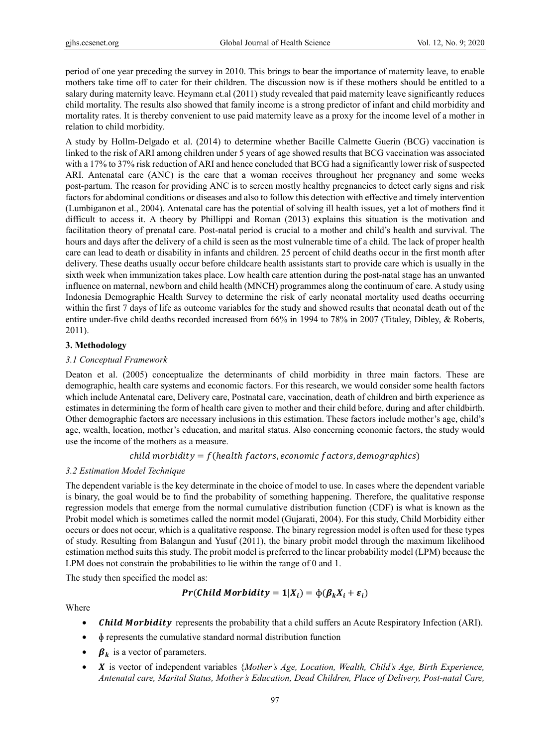period of one year preceding the survey in 2010. This brings to bear the importance of maternity leave, to enable mothers take time off to cater for their children. The discussion now is if these mothers should be entitled to a salary during maternity leave. Heymann et.al (2011) study revealed that paid maternity leave significantly reduces child mortality. The results also showed that family income is a strong predictor of infant and child morbidity and mortality rates. It is thereby convenient to use paid maternity leave as a proxy for the income level of a mother in relation to child morbidity.

A study by Hollm-Delgado et al. (2014) to determine whether Bacille Calmette Guerin (BCG) vaccination is linked to the risk of ARI among children under 5 years of age showed results that BCG vaccination was associated with a 17% to 37% risk reduction of ARI and hence concluded that BCG had a significantly lower risk of suspected ARI. Antenatal care (ANC) is the care that a woman receives throughout her pregnancy and some weeks post-partum. The reason for providing ANC is to screen mostly healthy pregnancies to detect early signs and risk factors for abdominal conditions or diseases and also to follow this detection with effective and timely intervention (Lumbiganon et al., 2004). Antenatal care has the potential of solving ill health issues, yet a lot of mothers find it difficult to access it. A theory by Phillippi and Roman (2013) explains this situation is the motivation and facilitation theory of prenatal care. Post-natal period is crucial to a mother and child's health and survival. The hours and days after the delivery of a child is seen as the most vulnerable time of a child. The lack of proper health care can lead to death or disability in infants and children. 25 percent of child deaths occur in the first month after delivery. These deaths usually occur before childcare health assistants start to provide care which is usually in the sixth week when immunization takes place. Low health care attention during the post-natal stage has an unwanted influence on maternal, newborn and child health (MNCH) programmes along the continuum of care. A study using Indonesia Demographic Health Survey to determine the risk of early neonatal mortality used deaths occurring within the first 7 days of life as outcome variables for the study and showed results that neonatal death out of the entire under-five child deaths recorded increased from 66% in 1994 to 78% in 2007 (Titaley, Dibley, & Roberts, 2011).

# **3. Methodology**

# *3.1 Conceptual Framework*

Deaton et al. (2005) conceptualize the determinants of child morbidity in three main factors. These are demographic, health care systems and economic factors. For this research, we would consider some health factors which include Antenatal care, Delivery care, Postnatal care, vaccination, death of children and birth experience as estimates in determining the form of health care given to mother and their child before, during and after childbirth. Other demographic factors are necessary inclusions in this estimation. These factors include mother's age, child's age, wealth, location, mother's education, and marital status. Also concerning economic factors, the study would use the income of the mothers as a measure.

# $child$  morbidity =  $f(health$  factors, economic factors, demographics)

# *3.2 Estimation Model Technique*

The dependent variable is the key determinate in the choice of model to use. In cases where the dependent variable is binary, the goal would be to find the probability of something happening. Therefore, the qualitative response regression models that emerge from the normal cumulative distribution function (CDF) is what is known as the Probit model which is sometimes called the normit model (Gujarati, 2004). For this study, Child Morbidity either occurs or does not occur, which is a qualitative response. The binary regression model is often used for these types of study. Resulting from Balangun and Yusuf (2011), the binary probit model through the maximum likelihood estimation method suits this study. The probit model is preferred to the linear probability model (LPM) because the LPM does not constrain the probabilities to lie within the range of 0 and 1.

The study then specified the model as:

$$
Pr(Child\; Morbidity = 1|X_i) = \phi(\beta_k X_i + \varepsilon_i)
$$

Where

- *Child Morbidity* represents the probability that a child suffers an Acute Respiratory Infection (ARI).
- ɸ represents the cumulative standard normal distribution function
- $\beta_k$  is a vector of parameters.
- is vector of independent variables {*Mother's Age, Location, Wealth, Child's Age, Birth Experience, Antenatal care, Marital Status, Mother's Education, Dead Children, Place of Delivery, Post-natal Care,*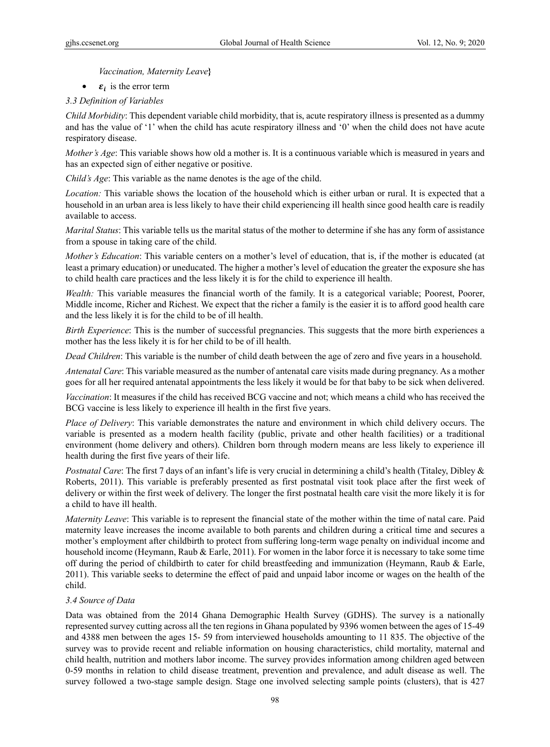*Vaccination, Maternity Leave***}** 

•  $\varepsilon_i$  is the error term

# *3.3 Definition of Variables*

*Child Morbidity*: This dependent variable child morbidity, that is, acute respiratory illness is presented as a dummy and has the value of '1' when the child has acute respiratory illness and '0' when the child does not have acute respiratory disease.

*Mother's Age*: This variable shows how old a mother is. It is a continuous variable which is measured in years and has an expected sign of either negative or positive.

*Child's Age*: This variable as the name denotes is the age of the child.

*Location:* This variable shows the location of the household which is either urban or rural. It is expected that a household in an urban area is less likely to have their child experiencing ill health since good health care is readily available to access.

*Marital Status*: This variable tells us the marital status of the mother to determine if she has any form of assistance from a spouse in taking care of the child.

*Mother's Education*: This variable centers on a mother's level of education, that is, if the mother is educated (at least a primary education) or uneducated. The higher a mother's level of education the greater the exposure she has to child health care practices and the less likely it is for the child to experience ill health.

*Wealth:* This variable measures the financial worth of the family. It is a categorical variable; Poorest, Poorer, Middle income, Richer and Richest. We expect that the richer a family is the easier it is to afford good health care and the less likely it is for the child to be of ill health.

*Birth Experience*: This is the number of successful pregnancies. This suggests that the more birth experiences a mother has the less likely it is for her child to be of ill health.

*Dead Children*: This variable is the number of child death between the age of zero and five years in a household.

*Antenatal Care*: This variable measured as the number of antenatal care visits made during pregnancy. As a mother goes for all her required antenatal appointments the less likely it would be for that baby to be sick when delivered.

*Vaccination*: It measures if the child has received BCG vaccine and not; which means a child who has received the BCG vaccine is less likely to experience ill health in the first five years.

*Place of Delivery*: This variable demonstrates the nature and environment in which child delivery occurs. The variable is presented as a modern health facility (public, private and other health facilities) or a traditional environment (home delivery and others). Children born through modern means are less likely to experience ill health during the first five years of their life.

*Postnatal Care*: The first 7 days of an infant's life is very crucial in determining a child's health (Titaley, Dibley & Roberts, 2011). This variable is preferably presented as first postnatal visit took place after the first week of delivery or within the first week of delivery. The longer the first postnatal health care visit the more likely it is for a child to have ill health.

*Maternity Leave*: This variable is to represent the financial state of the mother within the time of natal care. Paid maternity leave increases the income available to both parents and children during a critical time and secures a mother's employment after childbirth to protect from suffering long-term wage penalty on individual income and household income (Heymann, Raub & Earle, 2011). For women in the labor force it is necessary to take some time off during the period of childbirth to cater for child breastfeeding and immunization (Heymann, Raub & Earle, 2011). This variable seeks to determine the effect of paid and unpaid labor income or wages on the health of the child.

# *3.4 Source of Data*

Data was obtained from the 2014 Ghana Demographic Health Survey (GDHS). The survey is a nationally represented survey cutting across all the ten regions in Ghana populated by 9396 women between the ages of 15-49 and 4388 men between the ages 15- 59 from interviewed households amounting to 11 835. The objective of the survey was to provide recent and reliable information on housing characteristics, child mortality, maternal and child health, nutrition and mothers labor income. The survey provides information among children aged between 0-59 months in relation to child disease treatment, prevention and prevalence, and adult disease as well. The survey followed a two-stage sample design. Stage one involved selecting sample points (clusters), that is 427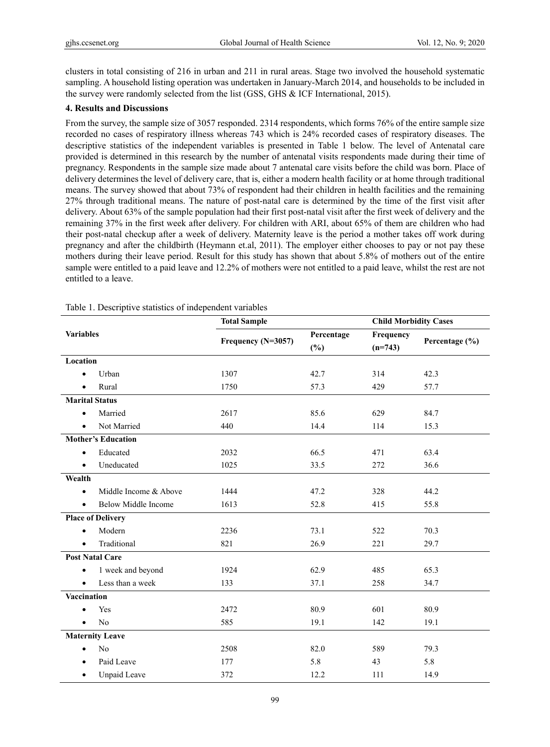clusters in total consisting of 216 in urban and 211 in rural areas. Stage two involved the household systematic sampling. A household listing operation was undertaken in January-March 2014, and households to be included in the survey were randomly selected from the list (GSS, GHS & ICF International, 2015).

#### **4. Results and Discussions**

From the survey, the sample size of 3057 responded. 2314 respondents, which forms 76% of the entire sample size recorded no cases of respiratory illness whereas 743 which is 24% recorded cases of respiratory diseases. The descriptive statistics of the independent variables is presented in Table 1 below. The level of Antenatal care provided is determined in this research by the number of antenatal visits respondents made during their time of pregnancy. Respondents in the sample size made about 7 antenatal care visits before the child was born. Place of delivery determines the level of delivery care, that is, either a modern health facility or at home through traditional means. The survey showed that about 73% of respondent had their children in health facilities and the remaining 27% through traditional means. The nature of post-natal care is determined by the time of the first visit after delivery. About 63% of the sample population had their first post-natal visit after the first week of delivery and the remaining 37% in the first week after delivery. For children with ARI, about 65% of them are children who had their post-natal checkup after a week of delivery. Maternity leave is the period a mother takes off work during pregnancy and after the childbirth (Heymann et.al, 2011). The employer either chooses to pay or not pay these mothers during their leave period. Result for this study has shown that about 5.8% of mothers out of the entire sample were entitled to a paid leave and 12.2% of mothers were not entitled to a paid leave, whilst the rest are not entitled to a leave.

| <b>Variables</b>          |                        | <b>Total Sample</b> |                      | <b>Child Morbidity Cases</b> |                |
|---------------------------|------------------------|---------------------|----------------------|------------------------------|----------------|
|                           |                        | Frequency (N=3057)  | Percentage<br>$(\%)$ | Frequency<br>$(n=743)$       | Percentage (%) |
| Location                  |                        |                     |                      |                              |                |
|                           | Urban                  | 1307                | 42.7                 | 314                          | 42.3           |
|                           | Rural                  | 1750                | 57.3                 | 429                          | 57.7           |
| <b>Marital Status</b>     |                        |                     |                      |                              |                |
| $\bullet$                 | Married                | 2617                | 85.6                 | 629                          | 84.7           |
| $\bullet$                 | Not Married            | 440                 | 14.4                 | 114                          | 15.3           |
| <b>Mother's Education</b> |                        |                     |                      |                              |                |
| $\bullet$                 | Educated               | 2032                | 66.5                 | 471                          | 63.4           |
| $\bullet$                 | Uneducated             | 1025                | 33.5                 | 272                          | 36.6           |
| Wealth                    |                        |                     |                      |                              |                |
| $\bullet$                 | Middle Income & Above  | 1444                | 47.2                 | 328                          | 44.2           |
| $\bullet$                 | Below Middle Income    | 1613                | 52.8                 | 415                          | 55.8           |
| <b>Place of Delivery</b>  |                        |                     |                      |                              |                |
| $\bullet$                 | Modern                 | 2236                | 73.1                 | 522                          | 70.3           |
| $\bullet$                 | Traditional            | 821                 | 26.9                 | 221                          | 29.7           |
|                           | <b>Post Natal Care</b> |                     |                      |                              |                |
| $\bullet$                 | 1 week and beyond      | 1924                | 62.9                 | 485                          | 65.3           |
| $\bullet$                 | Less than a week       | 133                 | 37.1                 | 258                          | 34.7           |
| Vaccination               |                        |                     |                      |                              |                |
|                           | Yes                    | 2472                | 80.9                 | 601                          | 80.9           |
| $\bullet$                 | N <sub>o</sub>         | 585                 | 19.1                 | 142                          | 19.1           |
| <b>Maternity Leave</b>    |                        |                     |                      |                              |                |
| $\bullet$                 | No                     | 2508                | 82.0                 | 589                          | 79.3           |
| $\bullet$                 | Paid Leave             | 177                 | 5.8                  | 43                           | 5.8            |
| $\bullet$                 | Unpaid Leave           | 372                 | 12.2                 | 111                          | 14.9           |

Table 1. Descriptive statistics of independent variables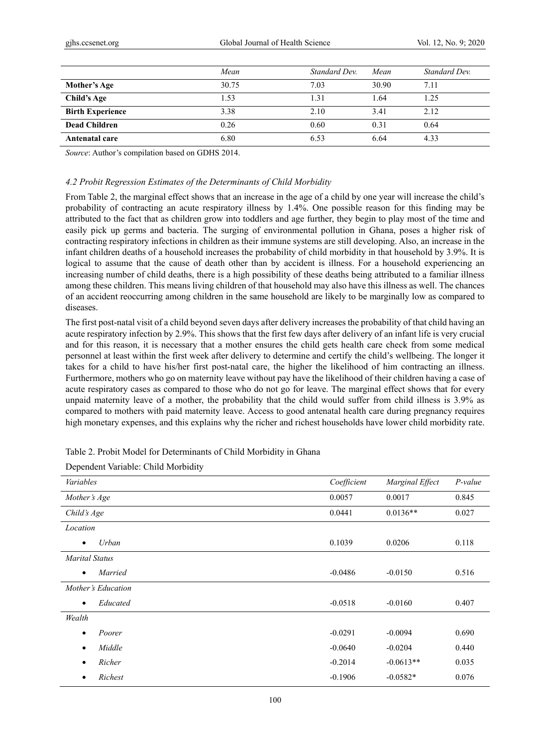|                         | Mean  | Standard Dev. | Mean  | Standard Dev. |
|-------------------------|-------|---------------|-------|---------------|
| Mother's Age            | 30.75 | 7.03          | 30.90 | 7.11          |
| Child's Age             | 1.53  | 1.31          | l.64  | 1.25          |
| <b>Birth Experience</b> | 3.38  | 2.10          | 3.41  | 2.12          |
| Dead Children           | 0.26  | 0.60          | 0.31  | 0.64          |
| Antenatal care          | 6.80  | 6.53          | 6.64  | 4.33          |

*Source*: Author's compilation based on GDHS 2014.

# *4.2 Probit Regression Estimates of the Determinants of Child Morbidity*

From Table 2, the marginal effect shows that an increase in the age of a child by one year will increase the child's probability of contracting an acute respiratory illness by 1.4%. One possible reason for this finding may be attributed to the fact that as children grow into toddlers and age further, they begin to play most of the time and easily pick up germs and bacteria. The surging of environmental pollution in Ghana, poses a higher risk of contracting respiratory infections in children as their immune systems are still developing. Also, an increase in the infant children deaths of a household increases the probability of child morbidity in that household by 3.9%. It is logical to assume that the cause of death other than by accident is illness. For a household experiencing an increasing number of child deaths, there is a high possibility of these deaths being attributed to a familiar illness among these children. This means living children of that household may also have this illness as well. The chances of an accident reoccurring among children in the same household are likely to be marginally low as compared to diseases.

The first post-natal visit of a child beyond seven days after delivery increases the probability of that child having an acute respiratory infection by 2.9%. This shows that the first few days after delivery of an infant life is very crucial and for this reason, it is necessary that a mother ensures the child gets health care check from some medical personnel at least within the first week after delivery to determine and certify the child's wellbeing. The longer it takes for a child to have his/her first post-natal care, the higher the likelihood of him contracting an illness. Furthermore, mothers who go on maternity leave without pay have the likelihood of their children having a case of acute respiratory cases as compared to those who do not go for leave. The marginal effect shows that for every unpaid maternity leave of a mother, the probability that the child would suffer from child illness is 3.9% as compared to mothers with paid maternity leave. Access to good antenatal health care during pregnancy requires high monetary expenses, and this explains why the richer and richest households have lower child morbidity rate.

| Variables             | Coefficient | Marginal Effect | P-value |
|-----------------------|-------------|-----------------|---------|
| Mother's Age          | 0.0057      | 0.0017          | 0.845   |
| Child's Age           | 0.0441      | $0.0136**$      | 0.027   |
| Location              |             |                 |         |
| Urban<br>٠            | 0.1039      | 0.0206          | 0.118   |
| <b>Marital Status</b> |             |                 |         |
| Married<br>٠          | $-0.0486$   | $-0.0150$       | 0.516   |
| Mother's Education    |             |                 |         |
| Educated<br>٠         | $-0.0518$   | $-0.0160$       | 0.407   |
| Wealth                |             |                 |         |
| Poorer<br>$\bullet$   | $-0.0291$   | $-0.0094$       | 0.690   |
| Middle<br>٠           | $-0.0640$   | $-0.0204$       | 0.440   |
| Richer                | $-0.2014$   | $-0.0613**$     | 0.035   |
| Richest<br>٠          | $-0.1906$   | $-0.0582*$      | 0.076   |

Dependent Variable: Child Morbidity

Table 2. Probit Model for Determinants of Child Morbidity in Ghana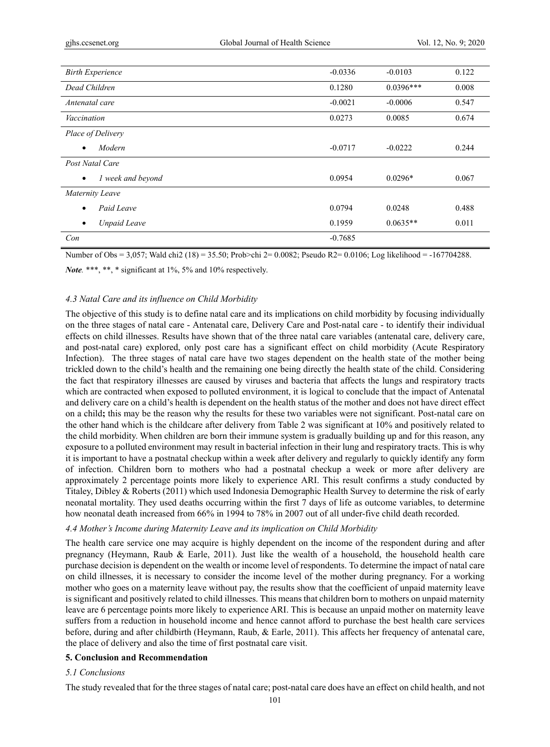| <b>Birth Experience</b>          | $-0.0336$ | $-0.0103$   | 0.122 |
|----------------------------------|-----------|-------------|-------|
| Dead Children                    | 0.1280    | $0.0396***$ | 0.008 |
| Antenatal care                   | $-0.0021$ | $-0.0006$   | 0.547 |
| Vaccination                      | 0.0273    | 0.0085      | 0.674 |
| Place of Delivery                |           |             |       |
| Modern                           | $-0.0717$ | $-0.0222$   | 0.244 |
| Post Natal Care                  |           |             |       |
| 1 week and beyond<br>$\bullet$   | 0.0954    | $0.0296*$   | 0.067 |
| <b>Maternity Leave</b>           |           |             |       |
| Paid Leave<br>$\bullet$          | 0.0794    | 0.0248      | 0.488 |
| <b>Unpaid Leave</b><br>$\bullet$ | 0.1959    | $0.0635**$  | 0.011 |
| Con                              | $-0.7685$ |             |       |

Number of Obs = 3,057; Wald chi2 (18) = 35.50; Prob>chi 2= 0.0082; Pseudo R2= 0.0106; Log likelihood = -167704288.

*Note.* \*\*\*, \*\*, \* significant at 1%, 5% and 10% respectively.

#### *4.3 Natal Care and its influence on Child Morbidity*

The objective of this study is to define natal care and its implications on child morbidity by focusing individually on the three stages of natal care - Antenatal care, Delivery Care and Post-natal care - to identify their individual effects on child illnesses. Results have shown that of the three natal care variables (antenatal care, delivery care, and post-natal care) explored, only post care has a significant effect on child morbidity (Acute Respiratory Infection). The three stages of natal care have two stages dependent on the health state of the mother being trickled down to the child's health and the remaining one being directly the health state of the child. Considering the fact that respiratory illnesses are caused by viruses and bacteria that affects the lungs and respiratory tracts which are contracted when exposed to polluted environment, it is logical to conclude that the impact of Antenatal and delivery care on a child's health is dependent on the health status of the mother and does not have direct effect on a child**;** this may be the reason why the results for these two variables were not significant. Post-natal care on the other hand which is the childcare after delivery from Table 2 was significant at 10% and positively related to the child morbidity. When children are born their immune system is gradually building up and for this reason, any exposure to a polluted environment may result in bacterial infection in their lung and respiratory tracts. This is why it is important to have a postnatal checkup within a week after delivery and regularly to quickly identify any form of infection. Children born to mothers who had a postnatal checkup a week or more after delivery are approximately 2 percentage points more likely to experience ARI. This result confirms a study conducted by Titaley, Dibley & Roberts (2011) which used Indonesia Demographic Health Survey to determine the risk of early neonatal mortality. They used deaths occurring within the first 7 days of life as outcome variables, to determine how neonatal death increased from 66% in 1994 to 78% in 2007 out of all under-five child death recorded.

#### *4.4 Mother's Income during Maternity Leave and its implication on Child Morbidity*

The health care service one may acquire is highly dependent on the income of the respondent during and after pregnancy (Heymann, Raub & Earle, 2011). Just like the wealth of a household, the household health care purchase decision is dependent on the wealth or income level of respondents. To determine the impact of natal care on child illnesses, it is necessary to consider the income level of the mother during pregnancy. For a working mother who goes on a maternity leave without pay, the results show that the coefficient of unpaid maternity leave is significant and positively related to child illnesses. This means that children born to mothers on unpaid maternity leave are 6 percentage points more likely to experience ARI. This is because an unpaid mother on maternity leave suffers from a reduction in household income and hence cannot afford to purchase the best health care services before, during and after childbirth (Heymann, Raub, & Earle, 2011). This affects her frequency of antenatal care, the place of delivery and also the time of first postnatal care visit.

#### **5. Conclusion and Recommendation**

#### *5.1 Conclusions*

The study revealed that for the three stages of natal care; post-natal care does have an effect on child health, and not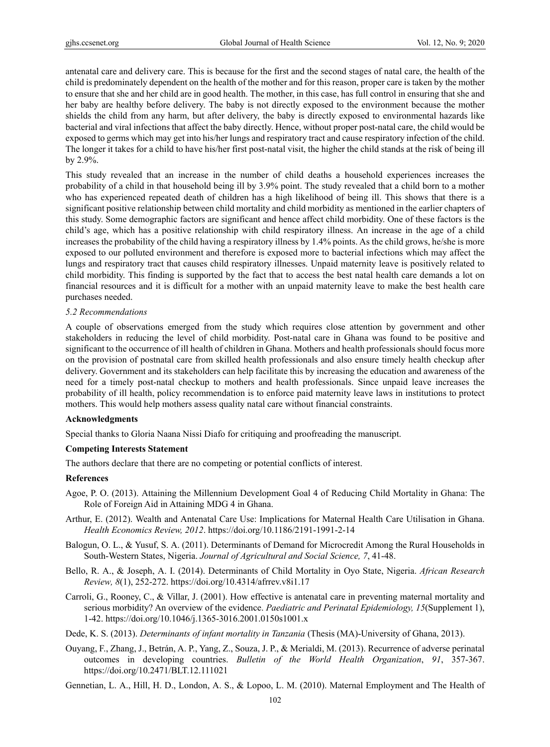antenatal care and delivery care. This is because for the first and the second stages of natal care, the health of the child is predominately dependent on the health of the mother and for this reason, proper care is taken by the mother to ensure that she and her child are in good health. The mother, in this case, has full control in ensuring that she and her baby are healthy before delivery. The baby is not directly exposed to the environment because the mother shields the child from any harm, but after delivery, the baby is directly exposed to environmental hazards like bacterial and viral infections that affect the baby directly. Hence, without proper post-natal care, the child would be exposed to germs which may get into his/her lungs and respiratory tract and cause respiratory infection of the child. The longer it takes for a child to have his/her first post-natal visit, the higher the child stands at the risk of being ill by 2.9%.

This study revealed that an increase in the number of child deaths a household experiences increases the probability of a child in that household being ill by 3.9% point. The study revealed that a child born to a mother who has experienced repeated death of children has a high likelihood of being ill. This shows that there is a significant positive relationship between child mortality and child morbidity as mentioned in the earlier chapters of this study. Some demographic factors are significant and hence affect child morbidity. One of these factors is the child's age, which has a positive relationship with child respiratory illness. An increase in the age of a child increases the probability of the child having a respiratory illness by 1.4% points. As the child grows, he/she is more exposed to our polluted environment and therefore is exposed more to bacterial infections which may affect the lungs and respiratory tract that causes child respiratory illnesses. Unpaid maternity leave is positively related to child morbidity. This finding is supported by the fact that to access the best natal health care demands a lot on financial resources and it is difficult for a mother with an unpaid maternity leave to make the best health care purchases needed.

#### *5.2 Recommendations*

A couple of observations emerged from the study which requires close attention by government and other stakeholders in reducing the level of child morbidity. Post-natal care in Ghana was found to be positive and significant to the occurrence of ill health of children in Ghana. Mothers and health professionals should focus more on the provision of postnatal care from skilled health professionals and also ensure timely health checkup after delivery. Government and its stakeholders can help facilitate this by increasing the education and awareness of the need for a timely post-natal checkup to mothers and health professionals. Since unpaid leave increases the probability of ill health, policy recommendation is to enforce paid maternity leave laws in institutions to protect mothers. This would help mothers assess quality natal care without financial constraints.

# **Acknowledgments**

Special thanks to Gloria Naana Nissi Diafo for critiquing and proofreading the manuscript.

# **Competing Interests Statement**

The authors declare that there are no competing or potential conflicts of interest.

#### **References**

- Agoe, P. O. (2013). Attaining the Millennium Development Goal 4 of Reducing Child Mortality in Ghana: The Role of Foreign Aid in Attaining MDG 4 in Ghana.
- Arthur, E. (2012). Wealth and Antenatal Care Use: Implications for Maternal Health Care Utilisation in Ghana. *Health Economics Review, 2012*. https://doi.org/10.1186/2191-1991-2-14
- Balogun, O. L., & Yusuf, S. A. (2011). Determinants of Demand for Microcredit Among the Rural Households in South-Western States, Nigeria. *Journal of Agricultural and Social Science, 7*, 41-48.
- Bello, R. A., & Joseph, A. I. (2014). Determinants of Child Mortality in Oyo State, Nigeria. *African Research Review, 8*(1), 252-272. https://doi.org/10.4314/afrrev.v8i1.17
- Carroli, G., Rooney, C., & Villar, J. (2001). How effective is antenatal care in preventing maternal mortality and serious morbidity? An overview of the evidence. *Paediatric and Perinatal Epidemiology, 15*(Supplement 1), 1-42. https://doi.org/10.1046/j.1365-3016.2001.0150s1001.x

Dede, K. S. (2013). *Determinants of infant mortality in Tanzania* (Thesis (MA)-University of Ghana, 2013).

- Ouyang, F., Zhang, J., Betrán, A. P., Yang, Z., Souza, J. P., & Merialdi, M. (2013). Recurrence of adverse perinatal outcomes in developing countries. *Bulletin of the World Health Organization*, *91*, 357-367. https://doi.org/10.2471/BLT.12.111021
- Gennetian, L. A., Hill, H. D., London, A. S., & Lopoo, L. M. (2010). Maternal Employment and The Health of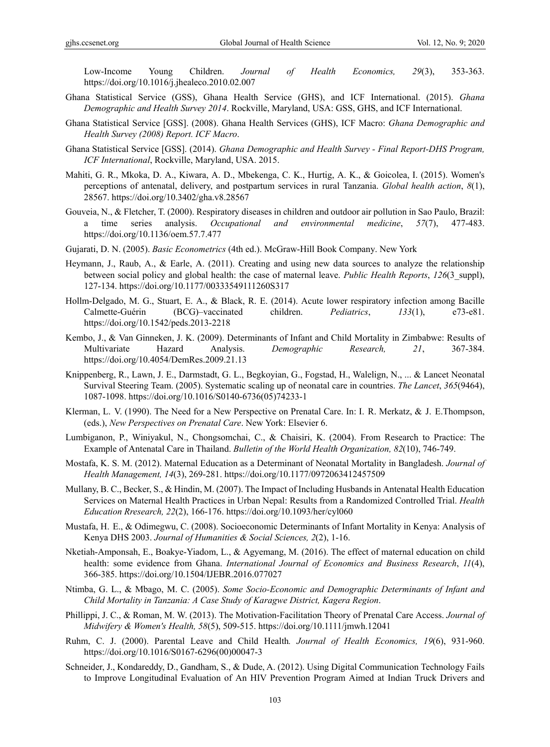Low-Income Young Children. *Journal of Health Economics, 29*(3), 353-363. https://doi.org/10.1016/j.jhealeco.2010.02.007

- Ghana Statistical Service (GSS), Ghana Health Service (GHS), and ICF International. (2015). *Ghana Demographic and Health Survey 2014*. Rockville, Maryland, USA: GSS, GHS, and ICF International.
- Ghana Statistical Service [GSS]. (2008). Ghana Health Services (GHS), ICF Macro: *Ghana Demographic and Health Survey (2008) Report. ICF Macro*.
- Ghana Statistical Service [GSS]. (2014). *Ghana Demographic and Health Survey Final Report-DHS Program, ICF International*, Rockville, Maryland, USA. 2015.
- Mahiti, G. R., Mkoka, D. A., Kiwara, A. D., Mbekenga, C. K., Hurtig, A. K., & Goicolea, I. (2015). Women's perceptions of antenatal, delivery, and postpartum services in rural Tanzania. *Global health action*, *8*(1), 28567. https://doi.org/10.3402/gha.v8.28567
- Gouveia, N., & Fletcher, T. (2000). Respiratory diseases in children and outdoor air pollution in Sao Paulo, Brazil: a time series analysis. *Occupational and environmental medicine*, *57*(7), 477-483. https://doi.org/10.1136/oem.57.7.477
- Gujarati, D. N. (2005). *Basic Econometrics* (4th ed.). McGraw-Hill Book Company. New York
- Heymann, J., Raub, A., & Earle, A. (2011). Creating and using new data sources to analyze the relationship between social policy and global health: the case of maternal leave. *Public Health Reports*, *126*(3\_suppl), 127-134. https://doi.org/10.1177/00333549111260S317
- Hollm-Delgado, M. G., Stuart, E. A., & Black, R. E. (2014). Acute lower respiratory infection among Bacille Calmette-Guérin (BCG)–vaccinated children. *Pediatrics*, *133*(1), e73-e81. https://doi.org/10.1542/peds.2013-2218
- Kembo, J., & Van Ginneken, J. K. (2009). Determinants of Infant and Child Mortality in Zimbabwe: Results of Multivariate Hazard Analysis. *Demographic Research, 21*, 367-384. https://doi.org/10.4054/DemRes.2009.21.13
- Knippenberg, R., Lawn, J. E., Darmstadt, G. L., Begkoyian, G., Fogstad, H., Walelign, N., ... & Lancet Neonatal Survival Steering Team. (2005). Systematic scaling up of neonatal care in countries. *The Lancet*, *365*(9464), 1087-1098. https://doi.org/10.1016/S0140-6736(05)74233-1
- Klerman, L. V. (1990). The Need for a New Perspective on Prenatal Care. In: I. R. Merkatz, & J. E.Thompson, (eds.), *New Perspectives on Prenatal Care*. New York: Elsevier 6.
- Lumbiganon, P., Winiyakul, N., Chongsomchai, C., & Chaisiri, K. (2004). From Research to Practice: The Example of Antenatal Care in Thailand. *Bulletin of the World Health Organization, 82*(10), 746-749.
- Mostafa, K. S. M. (2012). Maternal Education as a Determinant of Neonatal Mortality in Bangladesh. *Journal of Health Management, 14*(3), 269-281. https://doi.org/10.1177/0972063412457509
- Mullany, B. C., Becker, S., & Hindin, M. (2007). The Impact of Including Husbands in Antenatal Health Education Services on Maternal Health Practices in Urban Nepal: Results from a Randomized Controlled Trial. *Health Education Rresearch, 22*(2), 166-176. https://doi.org/10.1093/her/cyl060
- Mustafa, H. E., & Odimegwu, C. (2008). Socioeconomic Determinants of Infant Mortality in Kenya: Analysis of Kenya DHS 2003. *Journal of Humanities & Social Sciences, 2*(2), 1-16.
- Nketiah-Amponsah, E., Boakye-Yiadom, L., & Agyemang, M. (2016). The effect of maternal education on child health: some evidence from Ghana. *International Journal of Economics and Business Research*, *11*(4), 366-385. https://doi.org/10.1504/IJEBR.2016.077027
- Ntimba, G. L., & Mbago, M. C. (2005). *Some Socio-Economic and Demographic Determinants of Infant and Child Mortality in Tanzania: A Case Study of Karagwe District, Kagera Region*.
- Phillippi, J. C., & Roman, M. W. (2013). The Motivation‐Facilitation Theory of Prenatal Care Access. *Journal of Midwifery & Women's Health, 58*(5), 509-515. https://doi.org/10.1111/jmwh.12041
- Ruhm, C. J. (2000). Parental Leave and Child Health*. Journal of Health Economics, 19*(6), 931-960. https://doi.org/10.1016/S0167-6296(00)00047-3
- Schneider, J., Kondareddy, D., Gandham, S., & Dude, A. (2012). Using Digital Communication Technology Fails to Improve Longitudinal Evaluation of An HIV Prevention Program Aimed at Indian Truck Drivers and